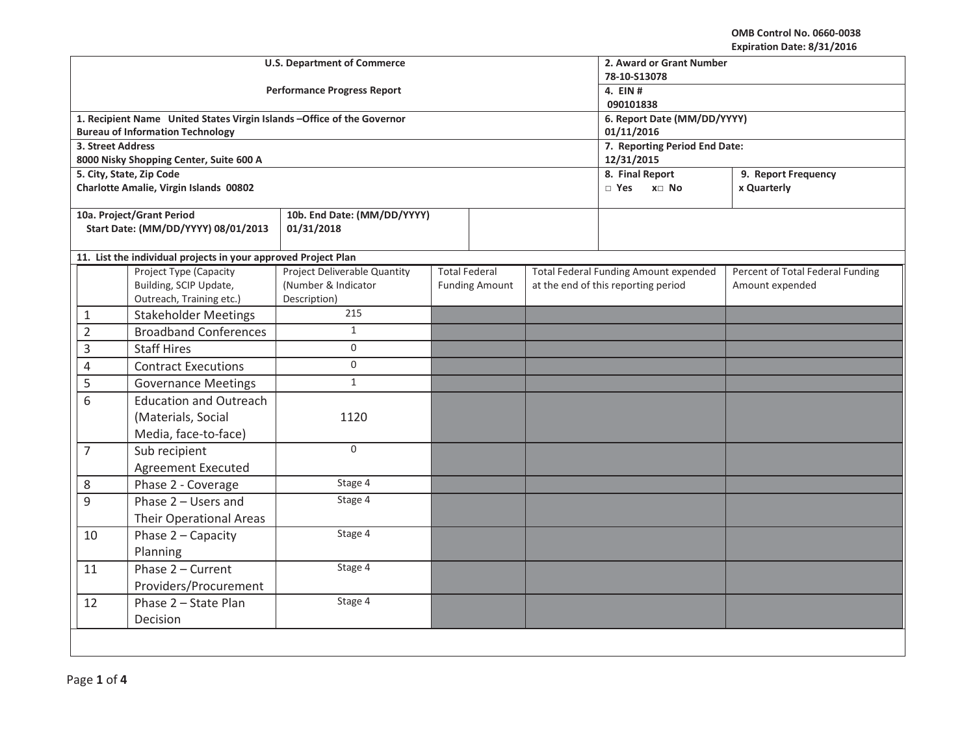|                   |                                                                         | <b>U.S. Department of Commerce</b>  | 2. Award or Grant Number<br>78-10-S13078    |                       |                                     |                                              |                                  |
|-------------------|-------------------------------------------------------------------------|-------------------------------------|---------------------------------------------|-----------------------|-------------------------------------|----------------------------------------------|----------------------------------|
|                   |                                                                         | <b>Performance Progress Report</b>  | 4. EIN #<br>090101838                       |                       |                                     |                                              |                                  |
|                   | 1. Recipient Name United States Virgin Islands - Office of the Governor |                                     | 6. Report Date (MM/DD/YYYY)                 |                       |                                     |                                              |                                  |
|                   | <b>Bureau of Information Technology</b>                                 |                                     | 01/11/2016                                  |                       |                                     |                                              |                                  |
| 3. Street Address | 8000 Nisky Shopping Center, Suite 600 A                                 |                                     | 7. Reporting Period End Date:<br>12/31/2015 |                       |                                     |                                              |                                  |
|                   | 5. City, State, Zip Code                                                |                                     | 8. Final Report<br>9. Report Frequency      |                       |                                     |                                              |                                  |
|                   | Charlotte Amalie, Virgin Islands 00802                                  |                                     |                                             |                       |                                     | □ Yes<br>$x \Box$ No                         | x Quarterly                      |
|                   | 10a. Project/Grant Period                                               | 10b. End Date: (MM/DD/YYYY)         |                                             |                       |                                     |                                              |                                  |
|                   | Start Date: (MM/DD/YYYY) 08/01/2013                                     | 01/31/2018                          |                                             |                       |                                     |                                              |                                  |
|                   | 11. List the individual projects in your approved Project Plan          |                                     |                                             |                       |                                     |                                              |                                  |
|                   | Project Type (Capacity                                                  | <b>Project Deliverable Quantity</b> |                                             | <b>Total Federal</b>  |                                     | <b>Total Federal Funding Amount expended</b> | Percent of Total Federal Funding |
|                   | Building, SCIP Update,                                                  | (Number & Indicator                 |                                             | <b>Funding Amount</b> | at the end of this reporting period |                                              | Amount expended                  |
|                   | Outreach, Training etc.)                                                | Description)<br>215                 |                                             |                       |                                     |                                              |                                  |
| $\mathbf{1}$      | <b>Stakeholder Meetings</b>                                             |                                     |                                             |                       |                                     |                                              |                                  |
| $\overline{2}$    | <b>Broadband Conferences</b>                                            | $\mathbf{1}$                        |                                             |                       |                                     |                                              |                                  |
| 3                 | <b>Staff Hires</b>                                                      | $\mathbf 0$                         |                                             |                       |                                     |                                              |                                  |
| 4                 | <b>Contract Executions</b>                                              | $\mathbf 0$                         |                                             |                       |                                     |                                              |                                  |
| 5                 | <b>Governance Meetings</b>                                              | $\mathbf{1}$                        |                                             |                       |                                     |                                              |                                  |
| 6                 | <b>Education and Outreach</b>                                           |                                     |                                             |                       |                                     |                                              |                                  |
|                   | (Materials, Social                                                      | 1120                                |                                             |                       |                                     |                                              |                                  |
|                   | Media, face-to-face)                                                    |                                     |                                             |                       |                                     |                                              |                                  |
| $\overline{7}$    | Sub recipient                                                           | $\mathbf 0$                         |                                             |                       |                                     |                                              |                                  |
|                   | <b>Agreement Executed</b>                                               |                                     |                                             |                       |                                     |                                              |                                  |
| 8                 | Phase 2 - Coverage                                                      | Stage 4                             |                                             |                       |                                     |                                              |                                  |
| 9                 | Phase 2 - Users and                                                     | Stage 4                             |                                             |                       |                                     |                                              |                                  |
|                   | <b>Their Operational Areas</b>                                          |                                     |                                             |                       |                                     |                                              |                                  |
| 10                | Phase 2 - Capacity                                                      | Stage 4                             |                                             |                       |                                     |                                              |                                  |
|                   | Planning                                                                |                                     |                                             |                       |                                     |                                              |                                  |
| 11                | Phase 2 - Current                                                       | Stage 4                             |                                             |                       |                                     |                                              |                                  |
|                   | Providers/Procurement                                                   |                                     |                                             |                       |                                     |                                              |                                  |
| 12                | Phase 2 - State Plan                                                    | Stage 4                             |                                             |                       |                                     |                                              |                                  |
|                   | Decision                                                                |                                     |                                             |                       |                                     |                                              |                                  |
|                   |                                                                         |                                     |                                             |                       |                                     |                                              |                                  |
|                   |                                                                         |                                     |                                             |                       |                                     |                                              |                                  |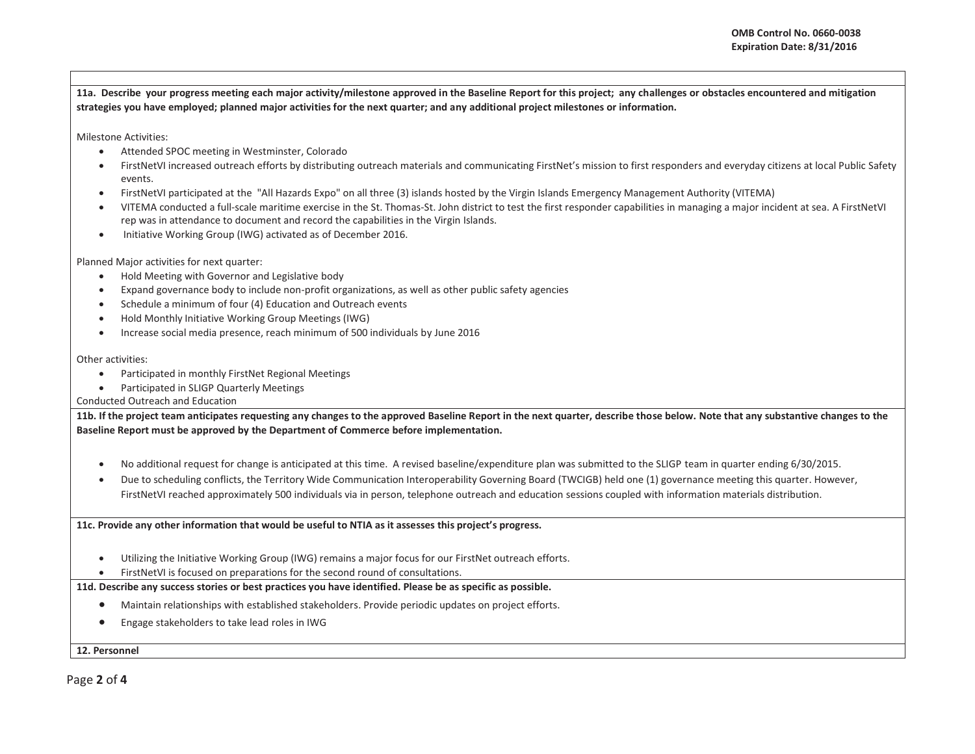**11a. Describe your progress meeting each major activity/milestone approved in the Baseline Report for this project; any challenges or obstacles encountered and mitigation strategies you have employed; planned major activities for the next quarter; and any additional project milestones or information.** 

Milestone Activities:

- e Attended SPOC meeting in Westminster, Colorado
- $\bullet$  FirstNetVI increased outreach efforts by distributing outreach materials and communicating FirstNet's mission to first responders and everyday citizens at local Public Safety events.
- $\bullet$ FirstNetVI participated at the "All Hazards Expo" on all three (3) islands hosted by the Virgin Islands Emergency Management Authority (VITEMA)
- $\bullet$  VITEMA conducted a full-scale maritime exercise in the St. Thomas-St. John district to test the first responder capabilities in managing a major incident at sea. A FirstNetVI rep was in attendance to document and record the capabilities in the Virgin Islands.
- Initiative Working Group (IWG) activated as of December 2016.

Planned Major activities for next quarter:

- $\bullet$ Hold Meeting with Governor and Legislative body
- Expand governance body to include non-profit organizations, as well as other public safety agencies
- xSchedule a minimum of four (4) Education and Outreach events
- $\bullet$ Hold Monthly Initiative Working Group Meetings (IWG)
- $\bullet$ Increase social media presence, reach minimum of 500 individuals by June 2016

Other activities:

- $\bullet$ Participated in monthly FirstNet Regional Meetings
- $\bullet$ Participated in SLIGP Quarterly Meetings

Conducted Outreach and Education

**11b. If the project team anticipates requesting any changes to the approved Baseline Report in the next quarter, describe those below. Note that any substantive changes to the Baseline Report must be approved by the Department of Commerce before implementation.** 

- xNo additional request for change is anticipated at this time. A revised baseline/expenditure plan was submitted to the SLIGP team in quarter ending 6/30/2015.
- $\bullet$  Due to scheduling conflicts, the Territory Wide Communication Interoperability Governing Board (TWCIGB) held one (1) governance meeting this quarter. However, FirstNetVI reached approximately 500 individuals via in person, telephone outreach and education sessions coupled with information materials distribution.

**11c. Provide any other information that would be useful to NTIA as it assesses this project's progress.** 

- $\bullet$ Utilizing the Initiative Working Group (IWG) remains a major focus for our FirstNet outreach efforts.
- xFirstNetVI is focused on preparations for the second round of consultations.

## **11d. Describe any success stories or best practices you have identified. Please be as specific as possible.**

- $\bullet$ Maintain relationships with established stakeholders. Provide periodic updates on project efforts.
- $\bullet$ Engage stakeholders to take lead roles in IWG

**12. Personnel** 

Page **2** of **4**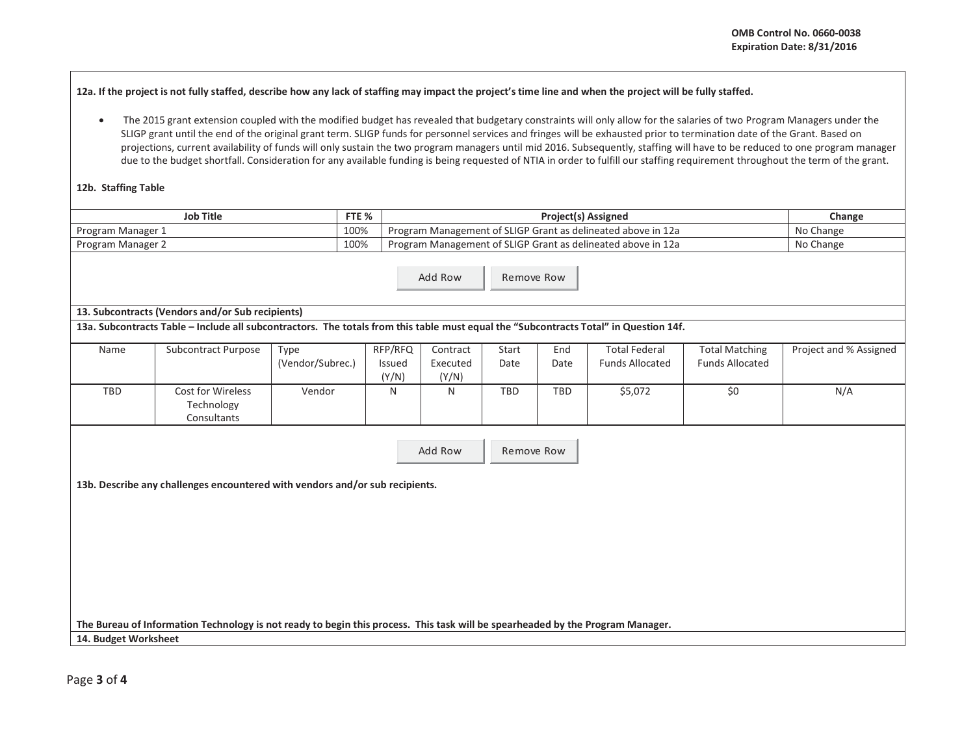**12a. If the project is not fully staffed, describe how any lack of staffing may impact the project's time line and when the project will be fully staffed.** 

• The 2015 grant extension coupled with the modified budget has revealed that budgetary constraints will only allow for the salaries of two Program Managers under the SLIGP grant until the end of the original grant term. SLIGP funds for personnel services and fringes will be exhausted prior to termination date of the Grant. Based on projections, current availability of funds will only sustain the two program managers until mid 2016. Subsequently, staffing will have to be reduced to one program manager due to the budget shortfall. Consideration for any available funding is being requested of NTIA in order to fulfill our staffing requirement throughout the term of the grant.

## **12b. Staffing Table**

| Job Title         | FTE % | <b>Project(s) Assigned</b>                                   | Change    |
|-------------------|-------|--------------------------------------------------------------|-----------|
| Program Manager 1 | 100%  | Program Management of SLIGP Grant as delineated above in 12a | No Change |
| Program Manager 2 | 100%  | Program Management of SLIGP Grant as delineated above in 12a | No Change |

Add RowRemove Row

## **13. Subcontracts (Vendors and/or Sub recipients)**

**13a. Subcontracts Table – Include all subcontractors. The totals from this table must equal the "Subcontracts Total" in Question 14f.** 

| Name | Subcontract Purpose | Type             | RFP/RFQ       | Contract | Start      | End        | Total Federal          | <b>Total Matching</b>  | Project and % Assigned |
|------|---------------------|------------------|---------------|----------|------------|------------|------------------------|------------------------|------------------------|
|      |                     | (Vendor/Subrec.) | <b>Issued</b> | Executed | Date       | Date       | <b>Funds Allocated</b> | <b>Funds Allocated</b> |                        |
|      |                     |                  | (Y/N)         | (Y/N)    |            |            |                        |                        |                        |
| TBD  | Cost for Wireless   | Vendor           |               | N        | <b>TBD</b> | <b>TBD</b> | \$5,072                | \$0                    | N/A                    |
|      | Technology          |                  |               |          |            |            |                        |                        |                        |
|      | Consultants         |                  |               |          |            |            |                        |                        |                        |

Add RowRemove Row

**13b. Describe any challenges encountered with vendors and/or sub recipients.** 

**The Bureau of Information Technology is not ready to begin this process. This task will be spearheaded by the Program Manager.**

**14. Budget Worksheet**